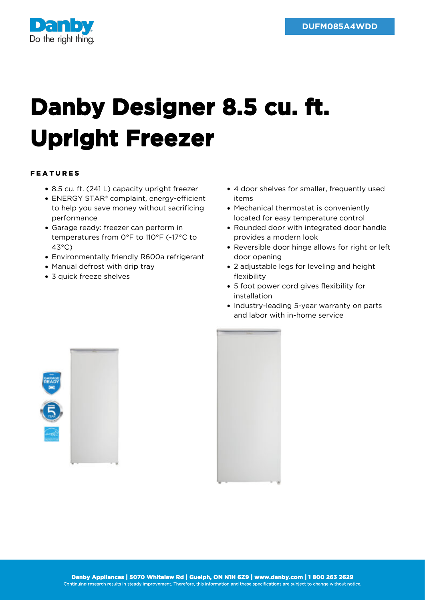

## **Danby Designer 8.5 cu. ft. Upright Freezer**

## FEATURES

- 8.5 cu. ft. (241 L) capacity upright freezer
- ENERGY STAR® complaint, energy-efficient to help you save money without sacrificing performance
- Garage ready: freezer can perform in temperatures from 0°F to 110°F (-17°C to 43°C)
- Environmentally friendly R600a refrigerant
- Manual defrost with drip tray
- 3 quick freeze shelves
- 4 door shelves for smaller, frequently used items
- Mechanical thermostat is conveniently located for easy temperature control
- Rounded door with integrated door handle provides a modern look
- Reversible door hinge allows for right or left door opening
- 2 adjustable legs for leveling and height flexibility
- 5 foot power cord gives flexibility for installation
- Industry-leading 5-year warranty on parts and labor with in-home service